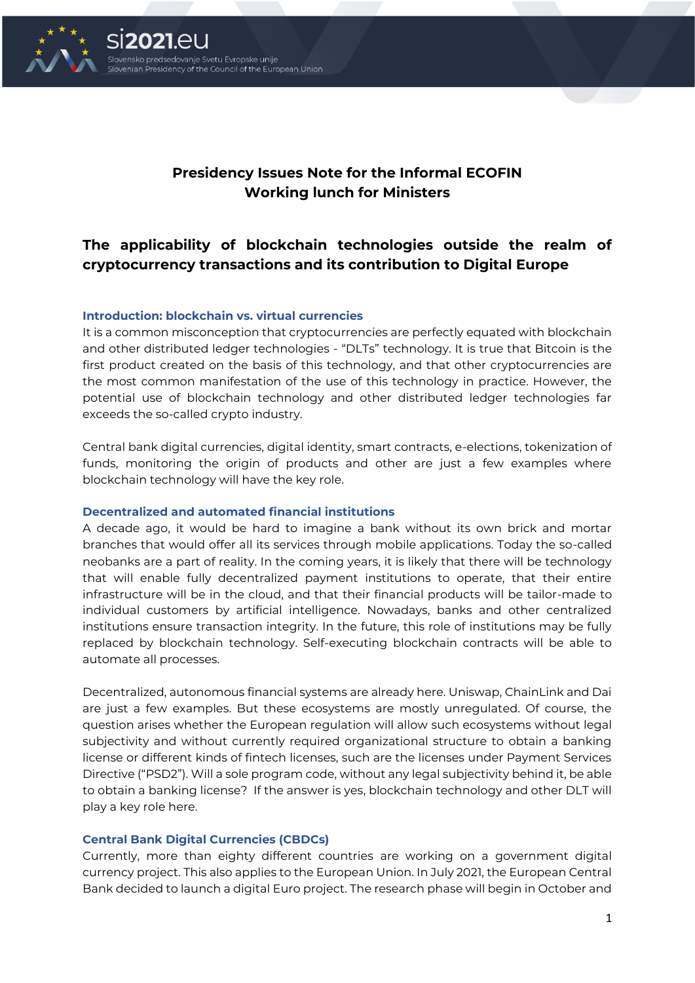

# **Presidency Issues Note for the Informal ECOFIN Working lunch for Ministers**

# **The applicability of blockchain technologies outside the realm of cryptocurrency transactions and its contribution to Digital Europe**

### **Introduction: blockchain vs. virtual currencies**

It is a common misconception that cryptocurrencies are perfectly equated with blockchain and other distributed ledger technologies - "DLTs" technology. It is true that Bitcoin is the first product created on the basis of this technology, and that other cryptocurrencies are the most common manifestation of the use of this technology in practice. However, the potential use of blockchain technology and other distributed ledger technologies far exceeds the so-called crypto industry.

Central bank digital currencies, digital identity, smart contracts, e-elections, tokenization of funds, monitoring the origin of products and other are just a few examples where blockchain technology will have the key role.

#### **Decentralized and automated financial institutions**

A decade ago, it would be hard to imagine a bank without its own brick and mortar branches that would offer all its services through mobile applications. Today the so-called neobanks are a part of reality. In the coming years, it is likely that there will be technology that will enable fully decentralized payment institutions to operate, that their entire infrastructure will be in the cloud, and that their financial products will be tailor-made to individual customers by artificial intelligence. Nowadays, banks and other centralized institutions ensure transaction integrity. In the future, this role of institutions may be fully replaced by blockchain technology. Self-executing blockchain contracts will be able to automate all processes.

Decentralized, autonomous financial systems are already here. Uniswap, ChainLink and Dai are just a few examples. But these ecosystems are mostly unregulated. Of course, the question arises whether the European regulation will allow such ecosystems without legal subjectivity and without currently required organizational structure to obtain a banking license or different kinds of fintech licenses, such are the licenses under Payment Services Directive ("PSD2"). Will a sole program code, without any legal subjectivity behind it, be able to obtain a banking license? If the answer is yes, blockchain technology and other DLT will play a key role here.

#### **Central Bank Digital Currencies (CBDCs)**

Currently, more than eighty different countries are working on a government digital currency project. This also applies to the European Union. In July 2021, the European Central Bank decided to launch a digital Euro project. The research phase will begin in October and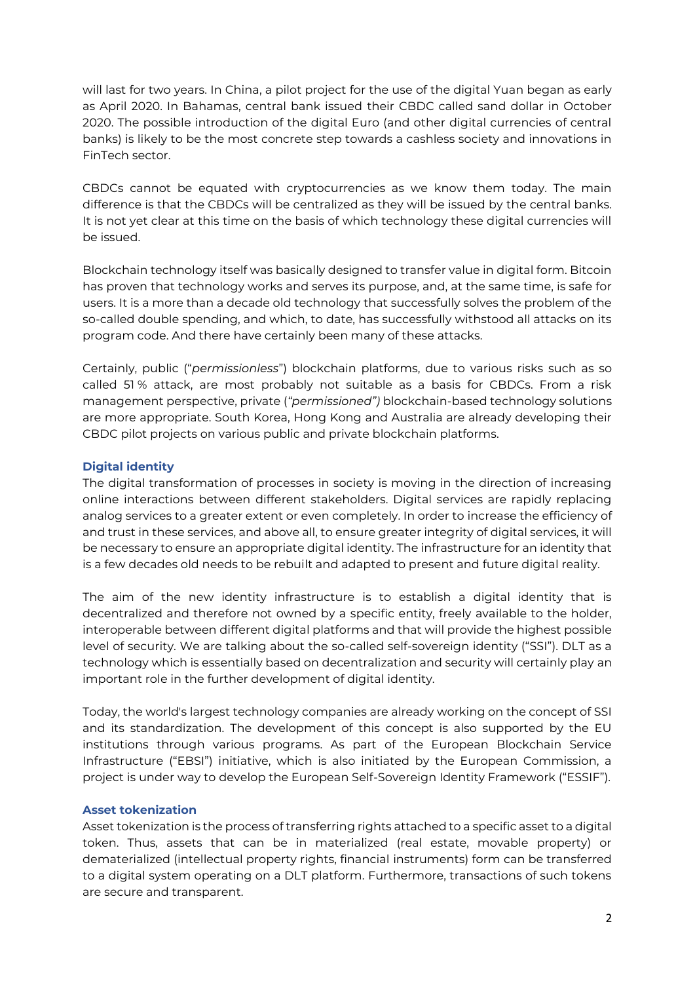will last for two years. In China, a pilot project for the use of the digital Yuan began as early as April 2020. In Bahamas, central bank issued their CBDC called sand dollar in October 2020. The possible introduction of the digital Euro (and other digital currencies of central banks) is likely to be the most concrete step towards a cashless society and innovations in FinTech sector.

CBDCs cannot be equated with cryptocurrencies as we know them today. The main difference is that the CBDCs will be centralized as they will be issued by the central banks. It is not yet clear at this time on the basis of which technology these digital currencies will be issued.

Blockchain technology itself was basically designed to transfer value in digital form. Bitcoin has proven that technology works and serves its purpose, and, at the same time, is safe for users. It is a more than a decade old technology that successfully solves the problem of the so-called double spending, and which, to date, has successfully withstood all attacks on its program code. And there have certainly been many of these attacks.

Certainly, public ("*permissionless*") blockchain platforms, due to various risks such as so called 51 % attack, are most probably not suitable as a basis for CBDCs. From a risk management perspective, private (*"permissioned")* blockchain-based technology solutions are more appropriate. South Korea, Hong Kong and Australia are already developing their CBDC pilot projects on various public and private blockchain platforms.

## **Digital identity**

The digital transformation of processes in society is moving in the direction of increasing online interactions between different stakeholders. Digital services are rapidly replacing analog services to a greater extent or even completely. In order to increase the efficiency of and trust in these services, and above all, to ensure greater integrity of digital services, it will be necessary to ensure an appropriate digital identity. The infrastructure for an identity that is a few decades old needs to be rebuilt and adapted to present and future digital reality.

The aim of the new identity infrastructure is to establish a digital identity that is decentralized and therefore not owned by a specific entity, freely available to the holder, interoperable between different digital platforms and that will provide the highest possible level of security. We are talking about the so-called self-sovereign identity ("SSI"). DLT as a technology which is essentially based on decentralization and security will certainly play an important role in the further development of digital identity.

Today, the world's largest technology companies are already working on the concept of SSI and its standardization. The development of this concept is also supported by the EU institutions through various programs. As part of the European Blockchain Service Infrastructure ("EBSI") initiative, which is also initiated by the European Commission, a project is under way to develop the European Self-Sovereign Identity Framework ("ESSIF").

## **Asset tokenization**

Asset tokenization is the process of transferring rights attached to a specific asset to a digital token. Thus, assets that can be in materialized (real estate, movable property) or dematerialized (intellectual property rights, financial instruments) form can be transferred to a digital system operating on a DLT platform. Furthermore, transactions of such tokens are secure and transparent.